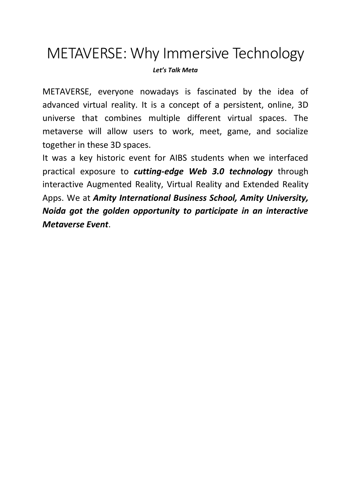## METAVERSE: Why Immersive Technology

*Let's Talk Meta*

METAVERSE, everyone nowadays is fascinated by the idea of advanced virtual reality. It is a concept of a persistent, online, 3D universe that combines multiple different virtual spaces. The metaverse will allow users to work, meet, game, and socialize together in these 3D spaces.

It was a key historic event for AIBS students when we interfaced practical exposure to *cutting-edge Web 3.0 technology* through interactive Augmented Reality, Virtual Reality and Extended Reality Apps. We at *Amity International Business School, Amity University, Noida got the golden opportunity to participate in an interactive Metaverse Event*.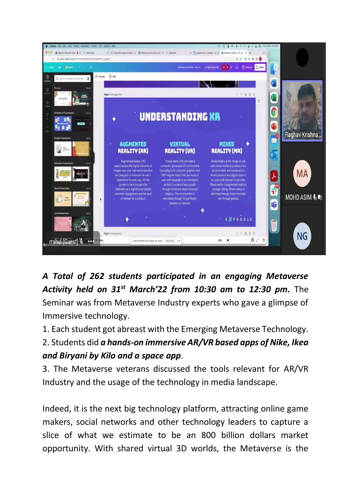

*A Total of 262 students participated in an engaging Metaverse Activity held on 31st March'22 from 10:30 am to 12:30 pm.* The Seminar was from Metaverse Industry experts who gave a glimpse of Immersive technology.

1. Each student got abreast with the Emerging Metaverse Technology. 2. Students did *a hands-on immersive AR/VR based apps of Nike, Ikea and Biryani by Kilo and a space app*.

3. The Metaverse veterans discussed the tools relevant for AR/VR Industry and the usage of the technology in media landscape.

Indeed, it is the next big technology platform, attracting online game makers, social networks and other technology leaders to capture a slice of what we estimate to be an 800 billion dollars market opportunity. With shared virtual 3D worlds, the Metaverse is the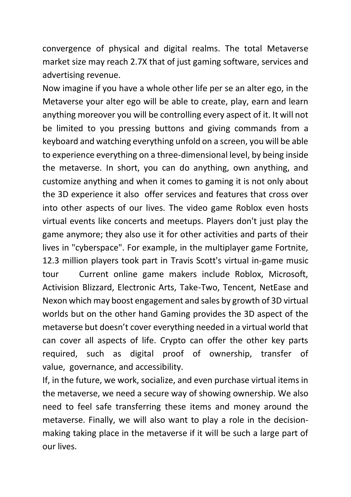convergence of physical and digital realms. The total Metaverse market size may reach 2.7X that of just gaming software, services and advertising revenue.

Now imagine if you have a whole other life per se an alter ego, in the Metaverse your alter ego will be able to create, play, earn and learn anything moreover you will be controlling every aspect of it. It will not be limited to you pressing buttons and giving commands from a keyboard and watching everything unfold on a screen, you will be able to experience everything on a three-dimensional level, by being inside the metaverse. In short, you can do anything, own anything, and customize anything and when it comes to gaming it is not only about the 3D experience it also offer services and features that cross over into other aspects of our lives. The video game Roblox even hosts virtual events like concerts and meetups. Players don't just play the game anymore; they also use it for other activities and parts of their lives in "cyberspace". For example, in the multiplayer game Fortnite, 12.3 million players took part in Travis Scott's virtual in-game music tour Current online game makers include Roblox, Microsoft, Activision Blizzard, Electronic Arts, Take-Two, Tencent, NetEase and Nexon which may boost engagement and sales by growth of 3D virtual worlds but on the other hand Gaming provides the 3D aspect of the metaverse but doesn't cover everything needed in a virtual world that can cover all aspects of life. Crypto can offer the other key parts required, such as digital proof of ownership, transfer of value, governance, and accessibility.

If, in the future, we work, socialize, and even purchase virtual items in the metaverse, we need a secure way of showing ownership. We also need to feel safe transferring these items and money around the metaverse. Finally, we will also want to play a role in the decisionmaking taking place in the metaverse if it will be such a large part of our lives.